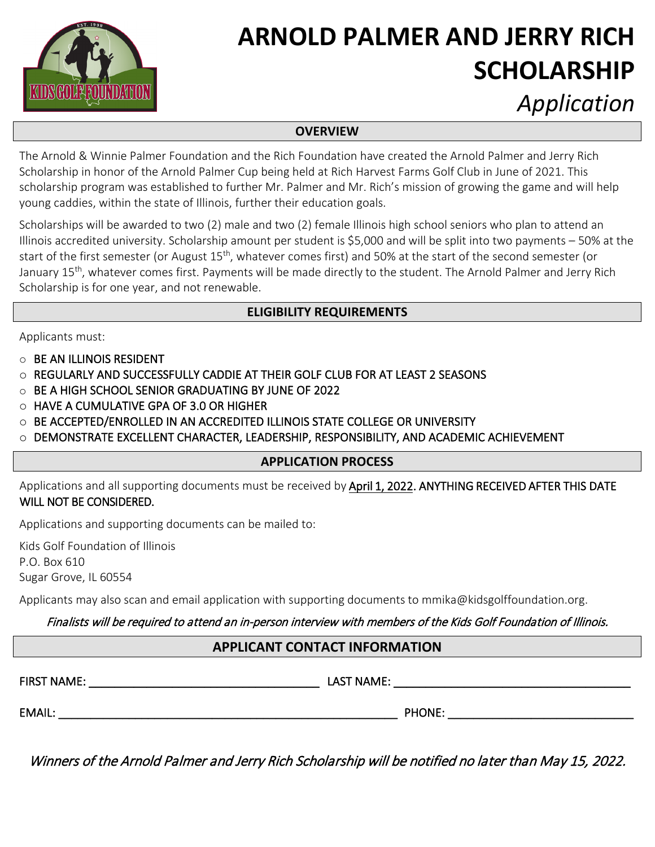

# **ARNOLD PALMER AND JERRY RICH SCHOLARSHIP**

*Application*

#### **OVERVIEW**

The Arnold & Winnie Palmer Foundation and the Rich Foundation have created the Arnold Palmer and Jerry Rich Scholarship in honor of the Arnold Palmer Cup being held at Rich Harvest Farms Golf Club in June of 2021. This scholarship program was established to further Mr. Palmer and Mr. Rich's mission of growing the game and will help young caddies, within the state of Illinois, further their education goals.

Scholarships will be awarded to two (2) male and two (2) female Illinois high school seniors who plan to attend an Illinois accredited university. Scholarship amount per student is \$5,000 and will be split into two payments – 50% at the start of the first semester (or August 15<sup>th</sup>, whatever comes first) and 50% at the start of the second semester (or January 15<sup>th</sup>, whatever comes first. Payments will be made directly to the student. The Arnold Palmer and Jerry Rich Scholarship is for one year, and not renewable.

## **ELIGIBILITY REQUIREMENTS**

Applicants must:

- $\circ$  BE AN ILLINOIS RESIDENT
- o REGULARLY AND SUCCESSFULLY CADDIE AT THEIR GOLF CLUB FOR AT LEAST 2 SEASONS
- o BE A HIGH SCHOOL SENIOR GRADUATING BY JUNE OF 2022
- o HAVE A CUMULATIVE GPA OF 3.0 OR HIGHER
- o BE ACCEPTED/ENROLLED IN AN ACCREDITED ILLINOIS STATE COLLEGE OR UNIVERSITY
- o DEMONSTRATE EXCELLENT CHARACTER, LEADERSHIP, RESPONSIBILITY, AND ACADEMIC ACHIEVEMENT

## **APPLICATION PROCESS**

Applications and all supporting documents must be received by April 1, 2022. ANYTHING RECEIVED AFTER THIS DATE WILL NOT BE CONSIDERED.

Applications and supporting documents can be mailed to:

Kids Golf Foundation of Illinois P.O. Box 610 Sugar Grove, IL 60554

Applicants may also scan and email application with supporting documents to mmika@kidsgolffoundation.org.

## Finalists will be required to attend an in-person interview with members of the Kids Golf Foundation of Illinois.

## **APPLICANT CONTACT INFORMATION**

FIRST NAME: \_\_\_\_\_\_\_\_\_\_\_\_\_\_\_\_\_\_\_\_\_\_\_\_\_\_\_\_\_\_\_\_\_\_\_\_ LAST NAME: \_\_\_\_\_\_\_\_\_\_\_\_\_\_\_\_\_\_\_\_\_\_\_\_\_\_\_\_\_\_\_\_\_\_\_\_\_

EMAIL: EMAIL: And the contract of the contract of the contract of the contract of the contract of the contract of the contract of the contract of the contract of the contract of the contract of the contract of the contract

Winners of the Arnold Palmer and Jerry Rich Scholarship will be notified no later than May 15, 2022.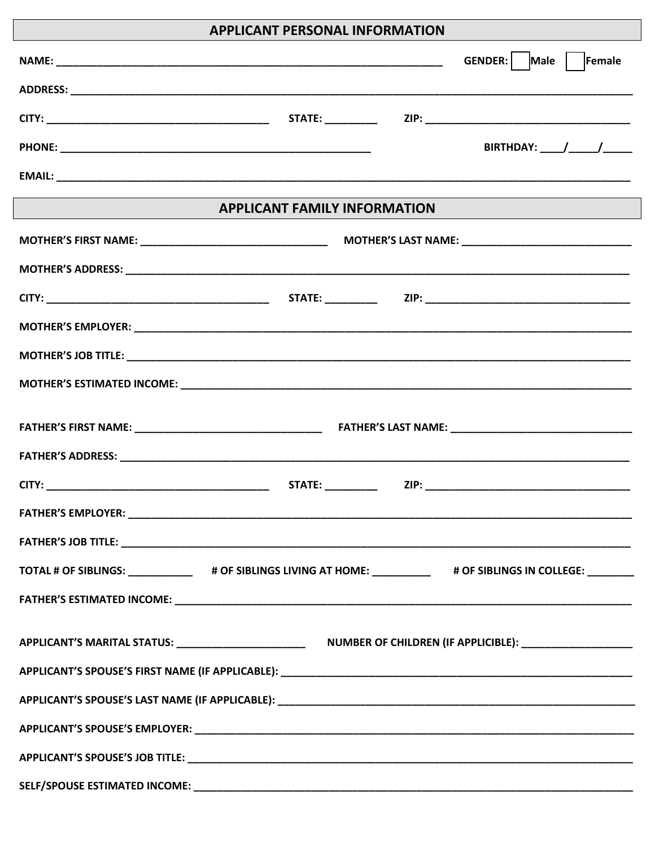## APPLICANT PERSONAL INFORMATION

| ALL LIVANT L'ENJUNAL INTURNATION                                                                             |                                               |
|--------------------------------------------------------------------------------------------------------------|-----------------------------------------------|
|                                                                                                              | GENDER: Male Female                           |
|                                                                                                              |                                               |
|                                                                                                              |                                               |
|                                                                                                              | BIRTHDAY: $\_\_\_\_\_\_\_\_\_\_\_\_\_\_\_\_\$ |
|                                                                                                              |                                               |
| <b>APPLICANT FAMILY INFORMATION</b>                                                                          |                                               |
|                                                                                                              |                                               |
|                                                                                                              |                                               |
|                                                                                                              |                                               |
|                                                                                                              |                                               |
|                                                                                                              |                                               |
|                                                                                                              |                                               |
|                                                                                                              |                                               |
|                                                                                                              |                                               |
|                                                                                                              |                                               |
|                                                                                                              |                                               |
| <b>FATHER'S EMPLOYER:</b>                                                                                    |                                               |
|                                                                                                              |                                               |
| TOTAL # OF SIBLINGS: _____________# OF SIBLINGS LIVING AT HOME: __________# OF SIBLINGS IN COLLEGE: ________ |                                               |
|                                                                                                              |                                               |
|                                                                                                              |                                               |
|                                                                                                              |                                               |
|                                                                                                              |                                               |
|                                                                                                              |                                               |
|                                                                                                              |                                               |
|                                                                                                              |                                               |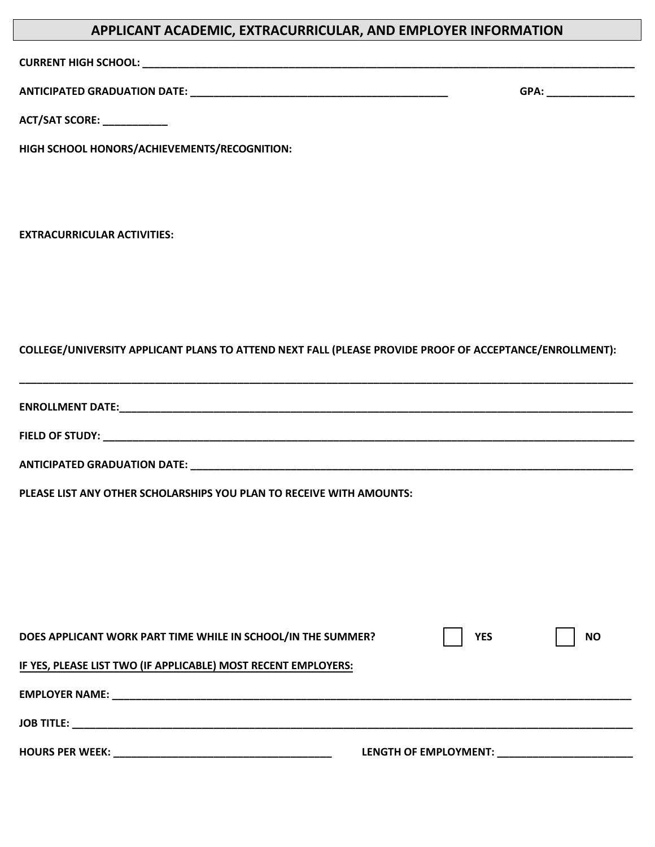## **APPLICANT ACADEMIC, EXTRACURRICULAR, AND EMPLOYER INFORMATION**

**CURRENT HIGH SCHOOL: \_\_\_\_\_\_\_\_\_\_\_\_\_\_\_\_\_\_\_\_\_\_\_\_\_\_\_\_\_\_\_\_\_\_\_\_\_\_\_\_\_\_\_\_\_\_\_\_\_\_\_\_\_\_\_\_\_\_\_\_\_\_\_\_\_\_\_\_\_\_\_\_\_\_\_\_\_\_\_\_\_\_\_\_**

**ANTICIPATED GRADUATION DATE: \_\_\_\_\_\_\_\_\_\_\_\_\_\_\_\_\_\_\_\_\_\_\_\_\_\_\_\_\_\_\_\_\_\_\_\_\_\_\_\_\_\_\_\_ GPA: \_\_\_\_\_\_\_\_\_\_\_\_\_\_\_** 

**ACT/SAT SCORE: \_\_\_\_\_\_\_\_\_\_\_** 

**HIGH SCHOOL HONORS/ACHIEVEMENTS/RECOGNITION:** 

**EXTRACURRICULAR ACTIVITIES:** 

**COLLEGE/UNIVERSITY APPLICANT PLANS TO ATTEND NEXT FALL (PLEASE PROVIDE PROOF OF ACCEPTANCE/ENROLLMENT):** 

**ENROLLMENT DATE:\_\_\_\_\_\_\_\_\_\_\_\_\_\_\_\_\_\_\_\_\_\_\_\_\_\_\_\_\_\_\_\_\_\_\_\_\_\_\_\_\_\_\_\_\_\_\_\_\_\_\_\_\_\_\_\_\_\_\_\_\_\_\_\_\_\_\_\_\_\_\_\_\_\_\_\_\_\_\_\_\_\_\_\_\_\_\_** 

**\_\_\_\_\_\_\_\_\_\_\_\_\_\_\_\_\_\_\_\_\_\_\_\_\_\_\_\_\_\_\_\_\_\_\_\_\_\_\_\_\_\_\_\_\_\_\_\_\_\_\_\_\_\_\_\_\_\_\_\_\_\_\_\_\_\_\_\_\_\_\_\_\_\_\_\_\_\_\_\_\_\_\_\_\_\_\_\_\_\_\_\_\_\_\_\_\_\_\_\_\_\_\_\_**

**FIELD OF STUDY: \_\_\_\_\_\_\_\_\_\_\_\_\_\_\_\_\_\_\_\_\_\_\_\_\_\_\_\_\_\_\_\_\_\_\_\_\_\_\_\_\_\_\_\_\_\_\_\_\_\_\_\_\_\_\_\_\_\_\_\_\_\_\_\_\_\_\_\_\_\_\_\_\_\_\_\_\_\_\_\_\_\_\_\_\_\_\_\_\_\_** 

**ANTICIPATED GRADUATION DATE: \_\_\_\_\_\_\_\_\_\_\_\_\_\_\_\_\_\_\_\_\_\_\_\_\_\_\_\_\_\_\_\_\_\_\_\_\_\_\_\_\_\_\_\_\_\_\_\_\_\_\_\_\_\_\_\_\_\_\_\_\_\_\_\_\_\_\_\_\_\_\_\_\_\_\_** 

**PLEASE LIST ANY OTHER SCHOLARSHIPS YOU PLAN TO RECEIVE WITH AMOUNTS:** 

| DOES APPLICANT WORK PART TIME WHILE IN SCHOOL/IN THE SUMMER?                                                                              | <b>YES</b>            | <b>NO</b> |
|-------------------------------------------------------------------------------------------------------------------------------------------|-----------------------|-----------|
| IF YES, PLEASE LIST TWO (IF APPLICABLE) MOST RECENT EMPLOYERS:                                                                            |                       |           |
| <b>EMPLOYER NAME:</b><br>and the control of the control of the control of the control of the control of the control of the control of the |                       |           |
| <b>JOB TITLE:</b>                                                                                                                         |                       |           |
| <b>HOURS PER WEEK:</b>                                                                                                                    | LENGTH OF EMPLOYMENT: |           |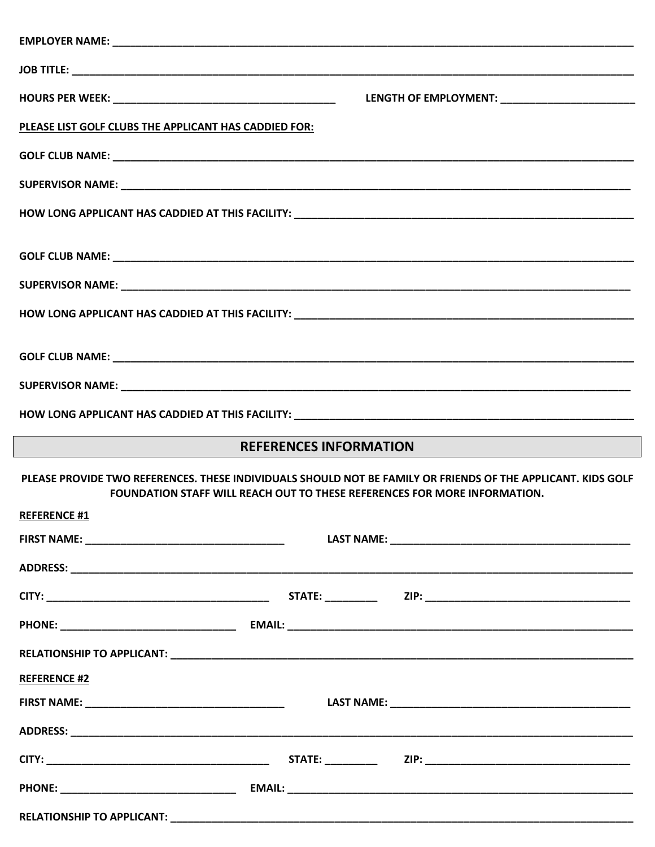| PLEASE LIST GOLF CLUBS THE APPLICANT HAS CADDIED FOR: |                                                                                                                                                                                                  |  |
|-------------------------------------------------------|--------------------------------------------------------------------------------------------------------------------------------------------------------------------------------------------------|--|
|                                                       |                                                                                                                                                                                                  |  |
|                                                       |                                                                                                                                                                                                  |  |
|                                                       |                                                                                                                                                                                                  |  |
|                                                       |                                                                                                                                                                                                  |  |
|                                                       |                                                                                                                                                                                                  |  |
|                                                       |                                                                                                                                                                                                  |  |
|                                                       |                                                                                                                                                                                                  |  |
|                                                       |                                                                                                                                                                                                  |  |
|                                                       |                                                                                                                                                                                                  |  |
| <b>REFERENCES INFORMATION</b>                         |                                                                                                                                                                                                  |  |
|                                                       |                                                                                                                                                                                                  |  |
|                                                       | PLEASE PROVIDE TWO REFERENCES. THESE INDIVIDUALS SHOULD NOT BE FAMILY OR FRIENDS OF THE APPLICANT. KIDS GOLF<br><b>FOUNDATION STAFF WILL REACH OUT TO THESE REFERENCES FOR MORE INFORMATION.</b> |  |
| <b>REFERENCE #1</b>                                   |                                                                                                                                                                                                  |  |
|                                                       |                                                                                                                                                                                                  |  |
|                                                       |                                                                                                                                                                                                  |  |
|                                                       |                                                                                                                                                                                                  |  |
|                                                       |                                                                                                                                                                                                  |  |
|                                                       |                                                                                                                                                                                                  |  |
| <b>REFERENCE #2</b>                                   |                                                                                                                                                                                                  |  |
|                                                       |                                                                                                                                                                                                  |  |
|                                                       |                                                                                                                                                                                                  |  |
|                                                       |                                                                                                                                                                                                  |  |
|                                                       |                                                                                                                                                                                                  |  |